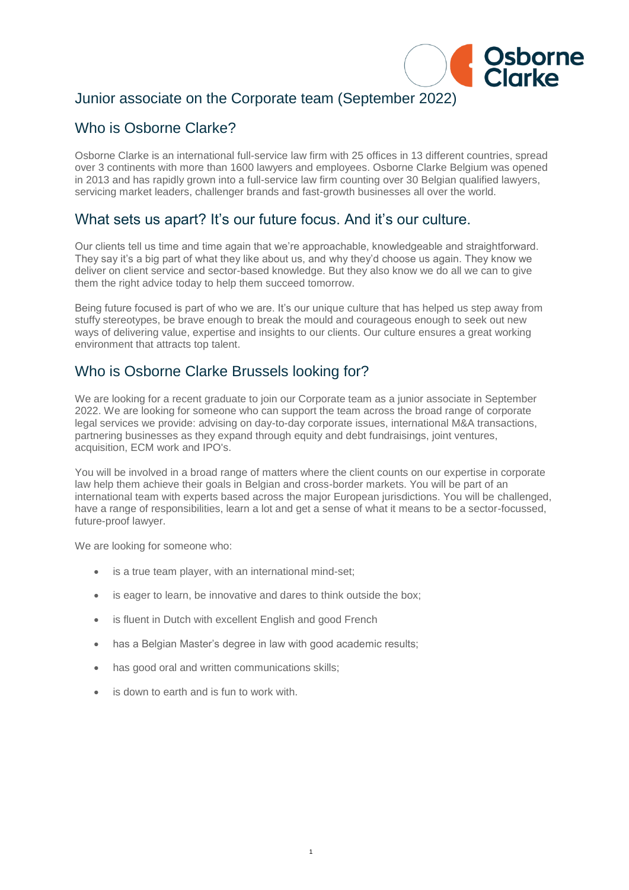

# Junior associate on the Corporate team (September 2022)

# Who is Osborne Clarke?

Osborne Clarke is an international full-service law firm with 25 offices in 13 different countries, spread over 3 continents with more than 1600 lawyers and employees. Osborne Clarke Belgium was opened in 2013 and has rapidly grown into a full-service law firm counting over 30 Belgian qualified lawyers, servicing market leaders, challenger brands and fast-growth businesses all over the world.

#### What sets us apart? It's our future focus. And it's our culture.

Our clients tell us time and time again that we're approachable, knowledgeable and straightforward. They say it's a big part of what they like about us, and why they'd choose us again. They know we deliver on client service and sector-based knowledge. But they also know we do all we can to give them the right advice today to help them succeed tomorrow.

Being future focused is part of who we are. It's our unique culture that has helped us step away from stuffy stereotypes, be brave enough to break the mould and courageous enough to seek out new ways of delivering value, expertise and insights to our clients. Our culture ensures a great working environment that attracts top talent.

# Who is Osborne Clarke Brussels looking for?

We are looking for a recent graduate to join our Corporate team as a junior associate in September 2022. We are looking for someone who can support the team across the broad range of corporate legal services we provide: advising on day-to-day corporate issues, international M&A transactions, partnering businesses as they expand through equity and debt fundraisings, joint ventures, acquisition, ECM work and IPO's.

You will be involved in a broad range of matters where the client counts on our expertise in corporate law help them achieve their goals in Belgian and cross-border markets. You will be part of an international team with experts based across the major European jurisdictions. You will be challenged, have a range of responsibilities, learn a lot and get a sense of what it means to be a sector-focussed, future-proof lawyer.

1

We are looking for someone who:

- is a true team player, with an international mind-set;
- is eager to learn, be innovative and dares to think outside the box;
- is fluent in Dutch with excellent English and good French
- has a Belgian Master's degree in law with good academic results;
- has good oral and written communications skills:
- is down to earth and is fun to work with.